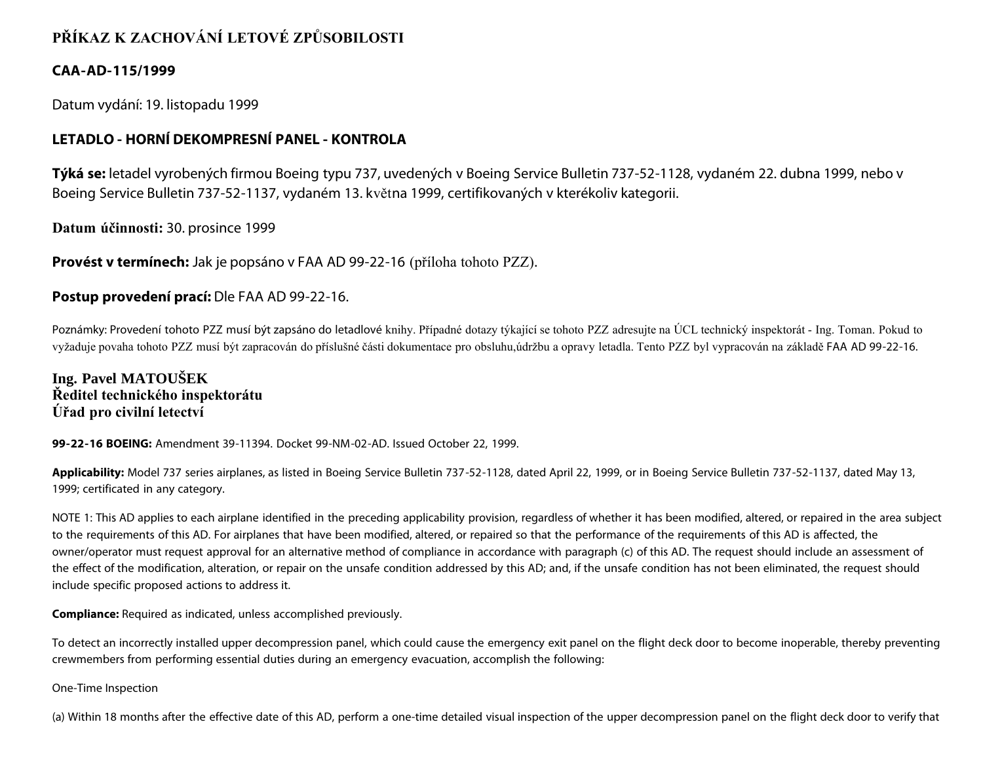# **PŘÍKAZ K ZACHOVÁNÍ LETOVÉ ZPŮSOBILOSTI**

## **CAA-AD-115/1999**

Datum vydání: 19. listopadu 1999

## **LETADLO - HORNÍ DEKOMPRESNÍ PANEL - KONTROLA**

**Týká se:** letadel vyrobených firmou Boeing typu 737, uvedených v Boeing Service Bulletin 737-52-1128, vydaném 22. dubna 1999, nebo v Boeing Service Bulletin 737-52-1137, vydaném 13. května 1999, certifikovaných v kterékoliv kategorii.

**Datum účinnosti:** 30. prosince 1999

**Provést v termínech:** Jak je popsáno v FAA AD 99-22-16 (příloha tohoto PZZ).

## **Postup provedení prací:** Dle FAA AD 99-22-16.

Poznámky: Provedení tohoto PZZ musí být zapsáno do letadlové knihy. Případné dotazy týkající se tohoto PZZ adresujte na ÚCL technický inspektorát - Ing. Toman. Pokud to vyžaduje povaha tohoto PZZ musí být zapracován do příslušné části dokumentace pro obsluhu,údržbu a opravy letadla. Tento PZZ byl vypracován na základě FAA AD 99-22-16.

## **Ing. Pavel MATOUŠEK Ředitel technického inspektorátu Úřad pro civilní letectví**

**99-22-16 BOEING:** Amendment 39-11394. Docket 99-NM-02-AD. Issued October 22, 1999.

**Applicability:** Model 737 series airplanes, as listed in Boeing Service Bulletin 737-52-1128, dated April 22, 1999, or in Boeing Service Bulletin 737-52-1137, dated May 13, 1999; certificated in any category.

NOTE 1: This AD applies to each airplane identified in the preceding applicability provision, regardless of whether it has been modified, altered, or repaired in the area subject to the requirements of this AD. For airplanes that have been modified, altered, or repaired so that the performance of the requirements of this AD is affected, the owner/operator must request approval for an alternative method of compliance in accordance with paragraph (c) of this AD. The request should include an assessment of the effect of the modification, alteration, or repair on the unsafe condition addressed by this AD; and, if the unsafe condition has not been eliminated, the request should include specific proposed actions to address it.

**Compliance:** Required as indicated, unless accomplished previously.

To detect an incorrectly installed upper decompression panel, which could cause the emergency exit panel on the flight deck door to become inoperable, thereby preventing crewmembers from performing essential duties during an emergency evacuation, accomplish the following:

One-Time Inspection

(a) Within 18 months after the effective date of this AD, perform a one-time detailed visual inspection of the upper decompression panel on the flight deck door to verify that